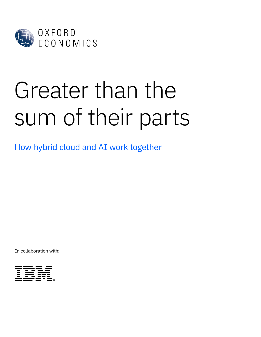

# Greater than the sum of their parts

How hybrid cloud and AI work together

In collaboration with:

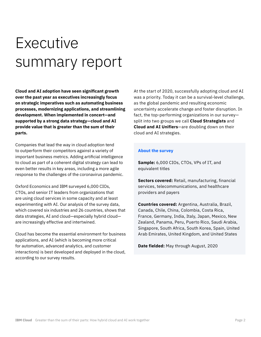### Executive summary report

**Cloud and AI adoption have seen significant growth over the past year as executives increasingly focus on strategic imperatives such as automating business processes, modernizing applications, and streamlining development. When implemented in concert—and supported by a strong data strategy—cloud and AI provide value that is greater than the sum of their parts.** 

Companies that lead the way in cloud adoption tend to outperform their competitors against a variety of important business metrics. Adding artificial intelligence to cloud as part of a coherent digital strategy can lead to even better results in key areas, including a more agile response to the challenges of the coronavirus pandemic.

Oxford Economics and IBM surveyed 6,000 CIOs, CTOs, and senior IT leaders from organizations that are using cloud services in some capacity and at least experimenting with AI. Our analysis of the survey data, which covered six industries and 26 countries, shows that data strategies, AI and cloud—especially hybrid cloud are increasingly effective and intertwined.

Cloud has become the essential environment for business applications, and AI (which is becoming more critical for automation, advanced analytics, and customer interactions) is best developed and deployed in the cloud, according to our survey results.

At the start of 2020, successfully adopting cloud and AI was a priority. Today it can be a survival-level challenge, as the global pandemic and resulting economic uncertainty accelerate change and foster disruption. In fact, the top-performing organizations in our survey split into two groups we call **Cloud Strategists** and **Cloud and AI Unifiers**—are doubling down on their cloud and AI strategies.

#### **About the survey**

**Sample:** 6,000 CIOs, CTOs, VPs of IT, and equivalent titles

**Sectors covered:** Retail, manufacturing, financial services, telecommunications, and healthcare providers and payers

**Countries covered:** Argentina, Australia, Brazil, Canada, Chile, China, Colombia, Costa Rica, France, Germany, India, Italy, Japan, Mexico, New Zealand, Panama, Peru, Puerto Rico, Saudi Arabia, Singapore, South Africa, South Korea, Spain, United Arab Emirates, United Kingdom, and United States

**Date fielded:** May through August, 2020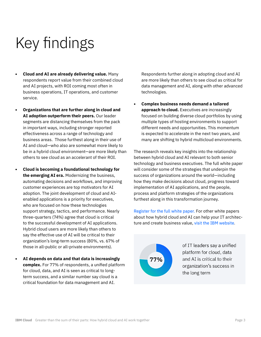## Key findings

- **• Cloud and AI are already delivering value.** Many respondents report value from their combined cloud and AI projects, with ROI coming most often in business operations, IT operations, and customer service.
- **• Organizations that are further along in cloud and AI adoption outperform their peers.** Our leader segments are distancing themselves from the pack in important ways, including stronger reported effectiveness across a range of technology and business areas. Those furthest along in their use of AI and cloud—who also are somewhat more likely to be in a hybrid cloud environment—are more likely than others to see cloud as an accelerant of their ROI.
- **• Cloud is becoming a foundational technology for the emerging AI era.** Modernizing the business, automating decisions and workflows, and improving customer experiences are top motivators for AI adoption. The joint development of cloud and AIenabled applications is a priority for executives, who are focused on how these technologies support strategy, tactics, and performance. Nearly three-quarters (74%) agree that cloud is critical to the successful development of AI applications. Hybrid cloud users are more likely than others to say the effective use of AI will be critical to their organization's long-term success (80%, vs. 67% of those in all-public or all-private environments).
- **• AI depends on data and that data is increasingly complex.** For 77% of respondents, a unified platform for cloud, data, and AI is seen as critical to longterm success, and a similar number say cloud is a critical foundation for data management and AI.

Respondents further along in adopting cloud and AI are more likely than others to see cloud as critical for data management and AI, along with other advanced technologies.

**• Complex business needs demand a tailored approach to cloud.** Executives are increasingly focused on building diverse cloud portfolios by using multiple types of hosting environments to support different needs and opportunities. This momentum is expected to accelerate in the next two years, and many are shifting to hybrid multicloud environments.

The research reveals key insights into the relationship between hybrid cloud and AI relevant to both senior technology and business executives. The full white paper will consider some of the strategies that underpin the success of organizations around the world—including how they make decisions about cloud, progress toward implementation of AI applications, and the people, process and platform strategies of the organizations furthest along in this transformation journey.

[Register for the full white paper.](https://www.ibm.com/account/reg/signup?formid=urx-48401) For other white papers about how hybrid cloud and AI can help your IT architecture and create business value, [visit the IBM website](http://www.ibm.com/cloud/yourcloud).

77%

of IT leaders say a unified platform for cloud, data and AI is critical to their organization's success in the long term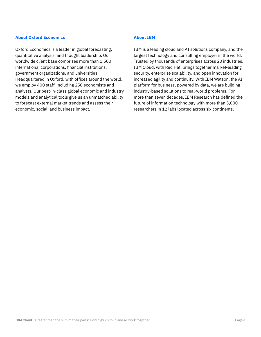### **About Oxford Economics**

[Oxford Economics](https://www.oxfordeconomics.com/) is a leader in global forecasting, quantitative analysis, and thought leadership. Our worldwide client base comprises more than 1,500 international corporations, financial institutions, government organizations, and universities. Headquartered in Oxford, with offices around the world, we employ 400 staff, including 250 economists and analysts. Our best-in-class global economic and industry models and analytical tools give us an unmatched ability to forecast external market trends and assess their economic, social, and business impact.

### **About IBM**

[IBM](https://www.ibm.com/cloud/yourcloud) is a leading cloud and AI solutions company, and the largest technology and consulting employer in the world. Trusted by thousands of enterprises across 20 industries, IBM Cloud, with Red Hat, brings together market-leading security, enterprise scalability, and open innovation for increased agility and continuity. With IBM Watson, the AI platform for business, powered by data, we are building industry-based solutions to real-world problems. For more than seven decades, IBM Research has defined the future of information technology with more than 3,000 researchers in 12 labs located across six continents.